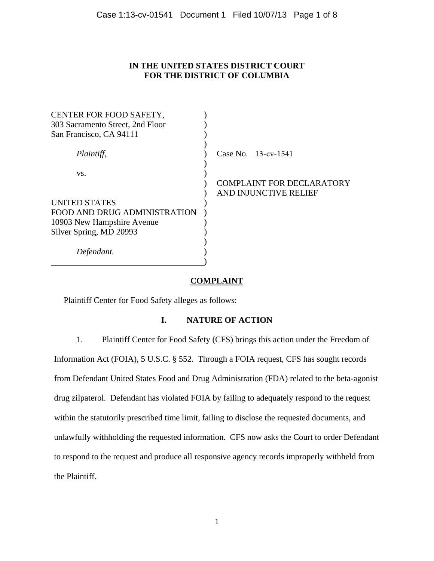## **IN THE UNITED STATES DISTRICT COURT FOR THE DISTRICT OF COLUMBIA**

| CENTER FOR FOOD SAFETY,          |                                  |
|----------------------------------|----------------------------------|
| 303 Sacramento Street, 2nd Floor |                                  |
| San Francisco, CA 94111          |                                  |
| Plaintiff,                       | Case No. 13-cv-1541              |
| VS.                              |                                  |
|                                  | <b>COMPLAINT FOR DECLARATORY</b> |
|                                  | AND INJUNCTIVE RELIEF            |
| <b>UNITED STATES</b>             |                                  |
| FOOD AND DRUG ADMINISTRATION     |                                  |
| 10903 New Hampshire Avenue       |                                  |
| Silver Spring, MD 20993          |                                  |
|                                  |                                  |
| Defendant.                       |                                  |
|                                  |                                  |

# **COMPLAINT**

Plaintiff Center for Food Safety alleges as follows:

# **I. NATURE OF ACTION**

1. Plaintiff Center for Food Safety (CFS) brings this action under the Freedom of Information Act (FOIA), 5 U.S.C. § 552. Through a FOIA request, CFS has sought records from Defendant United States Food and Drug Administration (FDA) related to the beta-agonist drug zilpaterol. Defendant has violated FOIA by failing to adequately respond to the request within the statutorily prescribed time limit, failing to disclose the requested documents, and unlawfully withholding the requested information. CFS now asks the Court to order Defendant to respond to the request and produce all responsive agency records improperly withheld from the Plaintiff.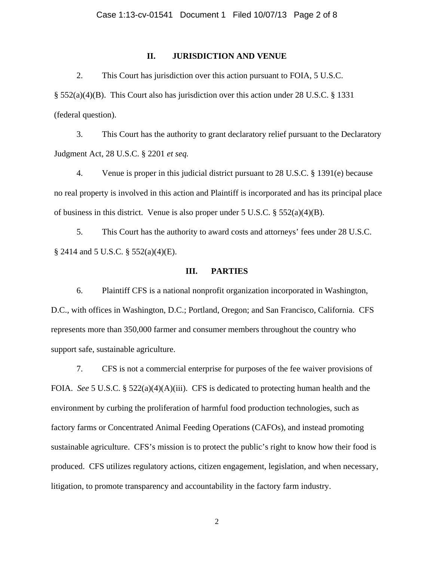## **II. JURISDICTION AND VENUE**

2. This Court has jurisdiction over this action pursuant to FOIA, 5 U.S.C. § 552(a)(4)(B). This Court also has jurisdiction over this action under 28 U.S.C. § 1331 (federal question).

3. This Court has the authority to grant declaratory relief pursuant to the Declaratory Judgment Act, 28 U.S.C. § 2201 *et seq.*

4. Venue is proper in this judicial district pursuant to 28 U.S.C. § 1391(e) because no real property is involved in this action and Plaintiff is incorporated and has its principal place of business in this district. Venue is also proper under 5 U.S.C. § 552(a)(4)(B).

5. This Court has the authority to award costs and attorneys' fees under 28 U.S.C. § 2414 and 5 U.S.C. § 552(a)(4)(E).

## **III. PARTIES**

6. Plaintiff CFS is a national nonprofit organization incorporated in Washington, D.C., with offices in Washington, D.C.; Portland, Oregon; and San Francisco, California. CFS represents more than 350,000 farmer and consumer members throughout the country who support safe, sustainable agriculture.

7. CFS is not a commercial enterprise for purposes of the fee waiver provisions of FOIA. *See* 5 U.S.C. § 522(a)(4)(A)(iii). CFS is dedicated to protecting human health and the environment by curbing the proliferation of harmful food production technologies, such as factory farms or Concentrated Animal Feeding Operations (CAFOs), and instead promoting sustainable agriculture. CFS's mission is to protect the public's right to know how their food is produced. CFS utilizes regulatory actions, citizen engagement, legislation, and when necessary, litigation, to promote transparency and accountability in the factory farm industry.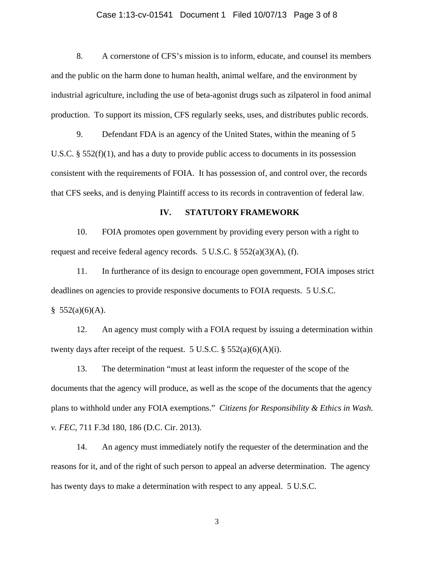### Case 1:13-cv-01541 Document 1 Filed 10/07/13 Page 3 of 8

8. A cornerstone of CFS's mission is to inform, educate, and counsel its members and the public on the harm done to human health, animal welfare, and the environment by industrial agriculture, including the use of beta-agonist drugs such as zilpaterol in food animal production. To support its mission, CFS regularly seeks, uses, and distributes public records.

9. Defendant FDA is an agency of the United States, within the meaning of 5 U.S.C.  $\S 552(f)(1)$ , and has a duty to provide public access to documents in its possession consistent with the requirements of FOIA. It has possession of, and control over, the records that CFS seeks, and is denying Plaintiff access to its records in contravention of federal law.

#### **IV. STATUTORY FRAMEWORK**

10. FOIA promotes open government by providing every person with a right to request and receive federal agency records. 5 U.S.C.  $\S$  552(a)(3)(A), (f).

11. In furtherance of its design to encourage open government, FOIA imposes strict deadlines on agencies to provide responsive documents to FOIA requests. 5 U.S.C.

 $$552(a)(6)(A).$ 

12. An agency must comply with a FOIA request by issuing a determination within twenty days after receipt of the request. 5 U.S.C.  $\S$  552(a)(6)(A)(i).

13. The determination "must at least inform the requester of the scope of the documents that the agency will produce, as well as the scope of the documents that the agency plans to withhold under any FOIA exemptions." *Citizens for Responsibility & Ethics in Wash. v. FEC*, 711 F.3d 180, 186 (D.C. Cir. 2013).

14. An agency must immediately notify the requester of the determination and the reasons for it, and of the right of such person to appeal an adverse determination. The agency has twenty days to make a determination with respect to any appeal. 5 U.S.C.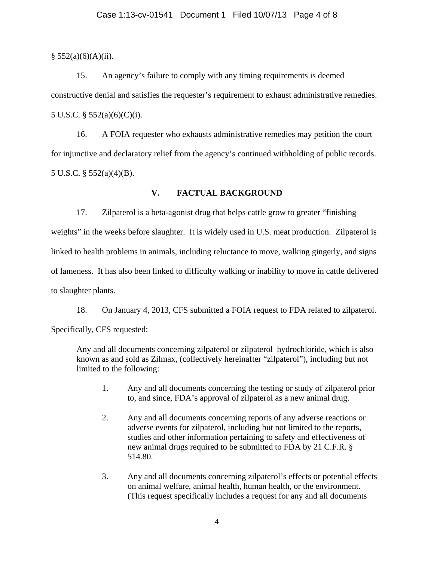### Case 1:13-cv-01541 Document 1 Filed 10/07/13 Page 4 of 8

 $§ 552(a)(6)(A)(ii).$ 

15. An agency's failure to comply with any timing requirements is deemed constructive denial and satisfies the requester's requirement to exhaust administrative remedies. 5 U.S.C. § 552(a)(6)(C)(i).

16. A FOIA requester who exhausts administrative remedies may petition the court for injunctive and declaratory relief from the agency's continued withholding of public records. 5 U.S.C. § 552(a)(4)(B).

# **V. FACTUAL BACKGROUND**

17. Zilpaterol is a beta-agonist drug that helps cattle grow to greater "finishing weights" in the weeks before slaughter. It is widely used in U.S. meat production. Zilpaterol is linked to health problems in animals, including reluctance to move, walking gingerly, and signs of lameness. It has also been linked to difficulty walking or inability to move in cattle delivered to slaughter plants.

18. On January 4, 2013, CFS submitted a FOIA request to FDA related to zilpaterol. Specifically, CFS requested:

Any and all documents concerning zilpaterol or zilpaterol hydrochloride, which is also known as and sold as Zilmax, (collectively hereinafter "zilpaterol"), including but not limited to the following:

- 1. Any and all documents concerning the testing or study of zilpaterol prior to, and since, FDA's approval of zilpaterol as a new animal drug.
- 2. Any and all documents concerning reports of any adverse reactions or adverse events for zilpaterol, including but not limited to the reports, studies and other information pertaining to safety and effectiveness of new animal drugs required to be submitted to FDA by 21 C.F.R. § 514.80.
- 3. Any and all documents concerning zilpaterol's effects or potential effects on animal welfare, animal health, human health, or the environment. (This request specifically includes a request for any and all documents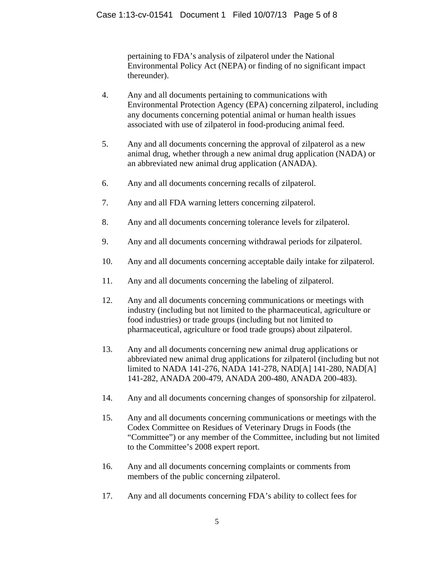pertaining to FDA's analysis of zilpaterol under the National Environmental Policy Act (NEPA) or finding of no significant impact thereunder).

- 4. Any and all documents pertaining to communications with Environmental Protection Agency (EPA) concerning zilpaterol, including any documents concerning potential animal or human health issues associated with use of zilpaterol in food-producing animal feed.
- 5. Any and all documents concerning the approval of zilpaterol as a new animal drug, whether through a new animal drug application (NADA) or an abbreviated new animal drug application (ANADA).
- 6. Any and all documents concerning recalls of zilpaterol.
- 7. Any and all FDA warning letters concerning zilpaterol.
- 8. Any and all documents concerning tolerance levels for zilpaterol.
- 9. Any and all documents concerning withdrawal periods for zilpaterol.
- 10. Any and all documents concerning acceptable daily intake for zilpaterol.
- 11. Any and all documents concerning the labeling of zilpaterol.
- 12. Any and all documents concerning communications or meetings with industry (including but not limited to the pharmaceutical, agriculture or food industries) or trade groups (including but not limited to pharmaceutical, agriculture or food trade groups) about zilpaterol.
- 13. Any and all documents concerning new animal drug applications or abbreviated new animal drug applications for zilpaterol (including but not limited to NADA 141-276, NADA 141-278, NAD[A] 141-280, NAD[A] 141-282, ANADA 200-479, ANADA 200-480, ANADA 200-483).
- 14. Any and all documents concerning changes of sponsorship for zilpaterol.
- 15. Any and all documents concerning communications or meetings with the Codex Committee on Residues of Veterinary Drugs in Foods (the "Committee") or any member of the Committee, including but not limited to the Committee's 2008 expert report.
- 16. Any and all documents concerning complaints or comments from members of the public concerning zilpaterol.
- 17. Any and all documents concerning FDA's ability to collect fees for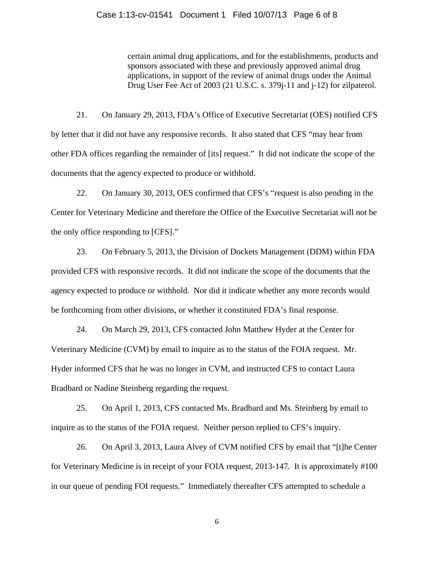#### Case 1:13-cv-01541 Document 1 Filed 10/07/13 Page 6 of 8

certain animal drug applications, and for the establishments, products and sponsors associated with these and previously approved animal drug applications, in support of the review of animal drugs under the Animal Drug User Fee Act of 2003 (21 U.S.C. s. 379j-11 and j-12) for zilpaterol.

21. On January 29, 2013, FDA's Office of Executive Secretariat (OES) notified CFS by letter that it did not have any responsive records. It also stated that CFS "may hear from other FDA offices regarding the remainder of [its] request." It did not indicate the scope of the documents that the agency expected to produce or withhold.

22. On January 30, 2013, OES confirmed that CFS's "request is also pending in the Center for Veterinary Medicine and therefore the Office of the Executive Secretariat will not be the only office responding to [CFS]."

23. On February 5, 2013, the Division of Dockets Management (DDM) within FDA provided CFS with responsive records. It did not indicate the scope of the documents that the agency expected to produce or withhold. Nor did it indicate whether any more records would be forthcoming from other divisions, or whether it constituted FDA's final response.

24. On March 29, 2013, CFS contacted John Matthew Hyder at the Center for Veterinary Medicine (CVM) by email to inquire as to the status of the FOIA request. Mr. Hyder informed CFS that he was no longer in CVM, and instructed CFS to contact Laura Bradbard or Nadine Steinberg regarding the request.

25. On April 1, 2013, CFS contacted Ms. Bradbard and Ms. Steinberg by email to inquire as to the status of the FOIA request. Neither person replied to CFS's inquiry.

26. On April 3, 2013, Laura Alvey of CVM notified CFS by email that "[t]he Center for Veterinary Medicine is in receipt of your FOIA request, 2013-147. It is approximately #100 in our queue of pending FOI requests." Immediately thereafter CFS attempted to schedule a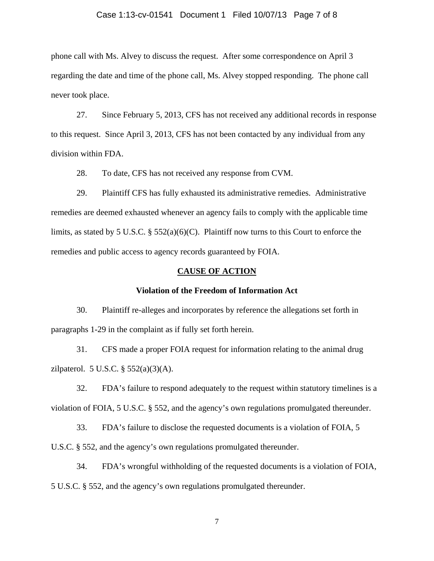### Case 1:13-cv-01541 Document 1 Filed 10/07/13 Page 7 of 8

phone call with Ms. Alvey to discuss the request. After some correspondence on April 3 regarding the date and time of the phone call, Ms. Alvey stopped responding. The phone call never took place.

27. Since February 5, 2013, CFS has not received any additional records in response to this request. Since April 3, 2013, CFS has not been contacted by any individual from any division within FDA.

28. To date, CFS has not received any response from CVM.

29. Plaintiff CFS has fully exhausted its administrative remedies. Administrative remedies are deemed exhausted whenever an agency fails to comply with the applicable time limits, as stated by 5 U.S.C. § 552(a)(6)(C). Plaintiff now turns to this Court to enforce the remedies and public access to agency records guaranteed by FOIA.

#### **CAUSE OF ACTION**

#### **Violation of the Freedom of Information Act**

30. Plaintiff re-alleges and incorporates by reference the allegations set forth in paragraphs 1-29 in the complaint as if fully set forth herein.

31. CFS made a proper FOIA request for information relating to the animal drug zilpaterol. 5 U.S.C. § 552(a)(3)(A).

32. FDA's failure to respond adequately to the request within statutory timelines is a violation of FOIA, 5 U.S.C. § 552, and the agency's own regulations promulgated thereunder.

33. FDA's failure to disclose the requested documents is a violation of FOIA, 5

U.S.C. § 552, and the agency's own regulations promulgated thereunder.

34. FDA's wrongful withholding of the requested documents is a violation of FOIA, 5 U.S.C. § 552, and the agency's own regulations promulgated thereunder.